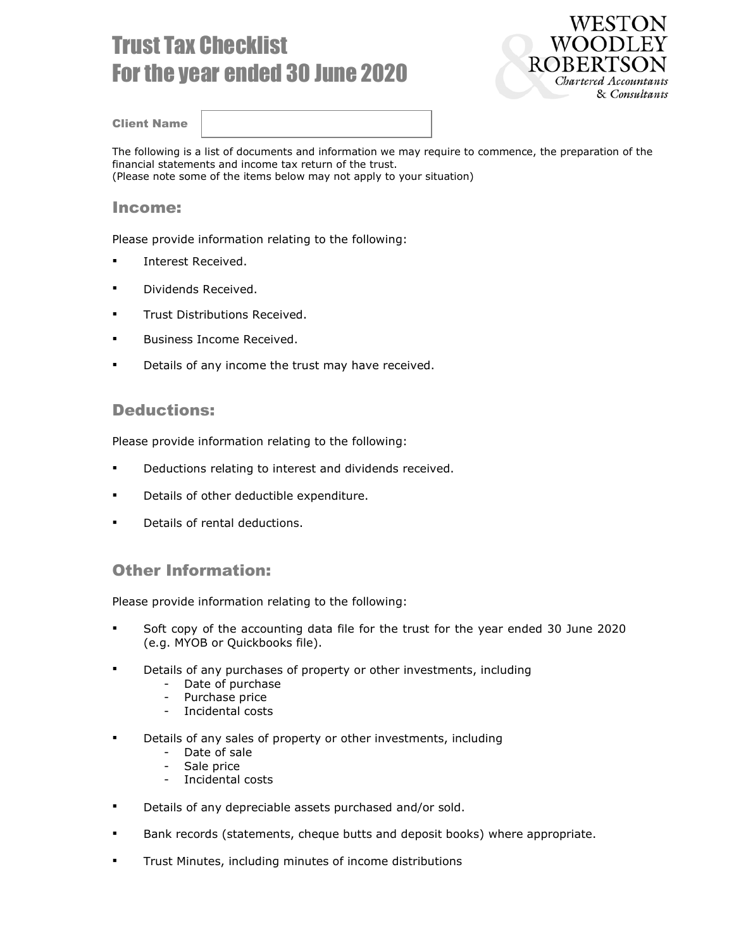# Trust Tax Checklist For the year ended 30 June 2020



Client Name

The following is a list of documents and information we may require to commence, the preparation of the financial statements and income tax return of the trust. (Please note some of the items below may not apply to your situation)

#### Income:

Please provide information relating to the following:

- Interest Received.
- Dividends Received.
- **Trust Distributions Received.**
- Business Income Received.
- **Details of any income the trust may have received.**

#### Deductions:

Please provide information relating to the following:

- **Deductions relating to interest and dividends received.**
- **•** Details of other deductible expenditure.
- Details of rental deductions.

### Other Information:

Please provide information relating to the following:

- Soft copy of the accounting data file for the trust for the year ended 30 June 2020 (e.g. MYOB or Quickbooks file).
- **•** Details of any purchases of property or other investments, including
	- Date of purchase
	- Purchase price
	- Incidental costs
- Details of any sales of property or other investments, including
	- Date of sale
	- Sale price
	- Incidental costs
- **•** Details of any depreciable assets purchased and/or sold.
- Bank records (statements, cheque butts and deposit books) where appropriate.
- Trust Minutes, including minutes of income distributions